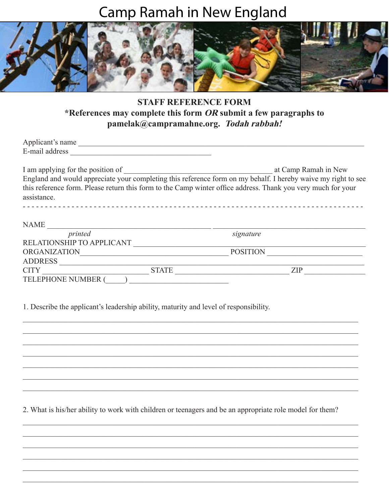## **Camp Ramah in New England**



## **STAFF REFERENCE FORM** \*References may complete this form  $OR$  submit a few paragraphs to pamelak@campramahne.org. Todah rabbah!

| Applicant's name |  |  |  |
|------------------|--|--|--|
| E-mail address   |  |  |  |
|                  |  |  |  |
|                  |  |  |  |

at Camp Ramah in New I am applying for the position of England and would appreciate your completing this reference form on my behalf. I hereby waive my right to see this reference form. Please return this form to the Camp winter office address. Thank you very much for your assistance. 

| <b>NAME</b>               |              |                 |            |
|---------------------------|--------------|-----------------|------------|
| printed                   |              | signature       |            |
| RELATIONSHIP TO APPLICANT |              |                 |            |
| <b>ORGANIZATION</b>       |              | <b>POSITION</b> |            |
| <b>ADDRESS</b>            |              |                 |            |
| <b>CITY</b>               | <b>STATE</b> |                 | <b>ZIP</b> |
| <b>TELEPHONE NUMBER (</b> |              |                 |            |

1. Describe the applicant's leadership ability, maturity and level of responsibility.

2. What is his/her ability to work with children or teenagers and be an appropriate role model for them?